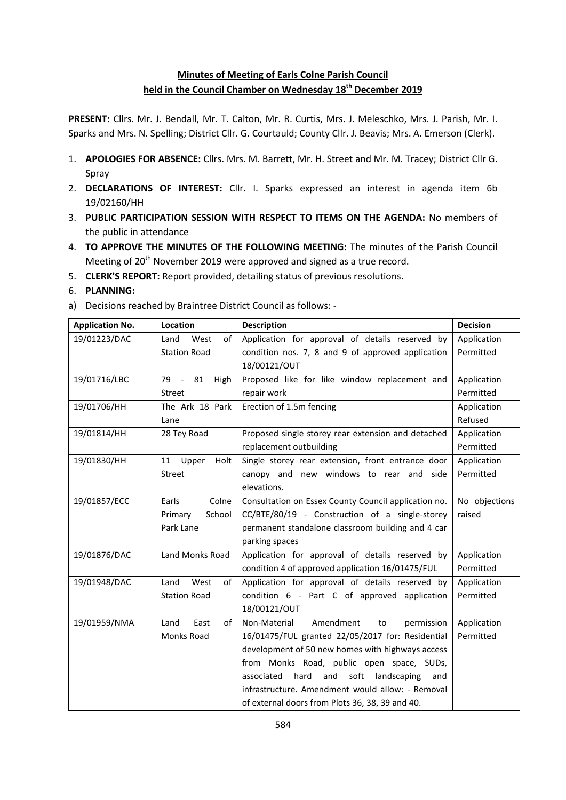### **Minutes of Meeting of Earls Colne Parish Council held in the Council Chamber on Wednesday 18th December 2019**

**PRESENT:** Cllrs. Mr. J. Bendall, Mr. T. Calton, Mr. R. Curtis, Mrs. J. Meleschko, Mrs. J. Parish, Mr. I. Sparks and Mrs. N. Spelling; District Cllr. G. Courtauld; County Cllr. J. Beavis; Mrs. A. Emerson (Clerk).

- 1. **APOLOGIES FOR ABSENCE:** Cllrs. Mrs. M. Barrett, Mr. H. Street and Mr. M. Tracey; District Cllr G. Spray
- 2. **DECLARATIONS OF INTEREST:** Cllr. I. Sparks expressed an interest in agenda item 6b 19/02160/HH
- 3. **PUBLIC PARTICIPATION SESSION WITH RESPECT TO ITEMS ON THE AGENDA:** No members of the public in attendance
- 4. **TO APPROVE THE MINUTES OF THE FOLLOWING MEETING:** The minutes of the Parish Council Meeting of 20<sup>th</sup> November 2019 were approved and signed as a true record.
- 5. **CLERK'S REPORT:** Report provided, detailing status of previous resolutions.
- 6. **PLANNING:**
- a) Decisions reached by Braintree District Council as follows: -

| <b>Application No.</b> | Location            | <b>Description</b>                                      | <b>Decision</b> |
|------------------------|---------------------|---------------------------------------------------------|-----------------|
| 19/01223/DAC           | of<br>Land<br>West  | Application for approval of details reserved by         | Application     |
|                        | <b>Station Road</b> | condition nos. 7, 8 and 9 of approved application       | Permitted       |
|                        |                     | 18/00121/OUT                                            |                 |
| 19/01716/LBC           | 81<br>79 -<br>High  | Proposed like for like window replacement and           | Application     |
|                        | <b>Street</b>       | repair work                                             | Permitted       |
| 19/01706/HH            | The Ark 18 Park     | Erection of 1.5m fencing                                | Application     |
|                        | Lane                |                                                         | Refused         |
| 19/01814/HH            | 28 Tey Road         | Proposed single storey rear extension and detached      | Application     |
|                        |                     | replacement outbuilding                                 | Permitted       |
| 19/01830/HH            | Upper<br>11<br>Holt | Single storey rear extension, front entrance door       | Application     |
|                        | Street              | canopy and new windows to rear and side                 | Permitted       |
|                        |                     | elevations.                                             |                 |
| 19/01857/ECC           | Colne<br>Earls      | Consultation on Essex County Council application no.    | No objections   |
|                        | School<br>Primary   | CC/BTE/80/19 - Construction of a single-storey          | raised          |
|                        | Park Lane           | permanent standalone classroom building and 4 car       |                 |
|                        |                     | parking spaces                                          |                 |
| 19/01876/DAC           | Land Monks Road     | Application for approval of details reserved by         | Application     |
|                        |                     | condition 4 of approved application 16/01475/FUL        | Permitted       |
| 19/01948/DAC           | Land<br>West<br>οf  | Application for approval of details reserved by         | Application     |
|                        | <b>Station Road</b> | condition 6 - Part C of approved application            | Permitted       |
|                        |                     | 18/00121/OUT                                            |                 |
| 19/01959/NMA           | East<br>of<br>Land  | Non-Material<br>Amendment<br>to<br>permission           | Application     |
|                        | Monks Road          | 16/01475/FUL granted 22/05/2017 for: Residential        | Permitted       |
|                        |                     | development of 50 new homes with highways access        |                 |
|                        |                     | from Monks Road, public open space, SUDs,               |                 |
|                        |                     | associated<br>hard<br>soft<br>and<br>landscaping<br>and |                 |
|                        |                     | infrastructure. Amendment would allow: - Removal        |                 |
|                        |                     | of external doors from Plots 36, 38, 39 and 40.         |                 |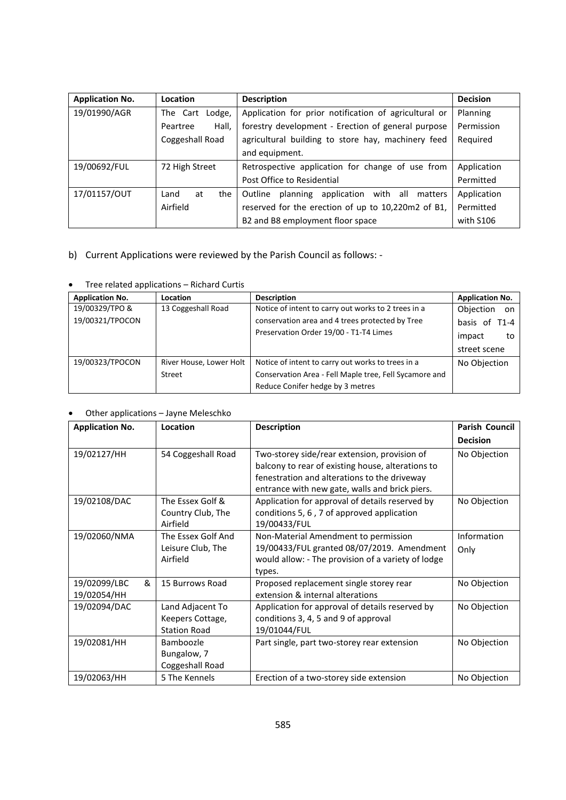| <b>Application No.</b> | Location           | <b>Description</b>                                               | <b>Decision</b> |
|------------------------|--------------------|------------------------------------------------------------------|-----------------|
| 19/01990/AGR           | The Cart<br>Lodge, | Application for prior notification of agricultural or            | Planning        |
|                        | Hall,<br>Peartree  | forestry development - Erection of general purpose               | Permission      |
|                        | Coggeshall Road    | agricultural building to store hay, machinery feed               | Required        |
|                        |                    | and equipment.                                                   |                 |
| 19/00692/FUL           | 72 High Street     | Retrospective application for change of use from                 | Application     |
|                        |                    | Post Office to Residential                                       | Permitted       |
| 17/01157/OUT           | the<br>at<br>Land  | application<br>with all<br>planning<br><b>Outline</b><br>matters | Application     |
|                        | Airfield           | reserved for the erection of up to 10,220m2 of B1,               | Permitted       |
|                        |                    | B2 and B8 employment floor space                                 | with S106       |

## b) Current Applications were reviewed by the Parish Council as follows: -

# Tree related applications – Richard Curtis

| <b>Application No.</b> | <b>Location</b>         | <b>Description</b>                                     | <b>Application No.</b> |
|------------------------|-------------------------|--------------------------------------------------------|------------------------|
| 19/00329/TPO &         | 13 Coggeshall Road      | Notice of intent to carry out works to 2 trees in a    | Objection on           |
| 19/00321/TPOCON        |                         | conservation area and 4 trees protected by Tree        | basis of<br>$T1-4$     |
|                        |                         | Preservation Order 19/00 - T1-T4 Limes                 | impact<br>to           |
|                        |                         |                                                        | street scene           |
| 19/00323/TPOCON        | River House, Lower Holt | Notice of intent to carry out works to trees in a      | No Objection           |
|                        | Street                  | Conservation Area - Fell Maple tree, Fell Sycamore and |                        |
|                        |                         | Reduce Conifer hedge by 3 metres                       |                        |

## Other applications – Jayne Meleschko

| <b>Application No.</b>           | Location                                                    | <b>Description</b>                                                                                                                                                                                  | <b>Parish Council</b> |
|----------------------------------|-------------------------------------------------------------|-----------------------------------------------------------------------------------------------------------------------------------------------------------------------------------------------------|-----------------------|
|                                  |                                                             |                                                                                                                                                                                                     | <b>Decision</b>       |
| 19/02127/HH                      | 54 Coggeshall Road                                          | Two-storey side/rear extension, provision of<br>balcony to rear of existing house, alterations to<br>fenestration and alterations to the driveway<br>entrance with new gate, walls and brick piers. | No Objection          |
| 19/02108/DAC                     | The Essex Golf &<br>Country Club, The<br>Airfield           | Application for approval of details reserved by<br>conditions 5, 6, 7 of approved application<br>19/00433/FUL                                                                                       | No Objection          |
| 19/02060/NMA                     | The Essex Golf And<br>Leisure Club, The<br>Airfield         | Non-Material Amendment to permission<br>19/00433/FUL granted 08/07/2019. Amendment<br>would allow: - The provision of a variety of lodge<br>types.                                                  | Information<br>Only   |
| 19/02099/LBC<br>&<br>19/02054/HH | 15 Burrows Road                                             | Proposed replacement single storey rear<br>extension & internal alterations                                                                                                                         | No Objection          |
| 19/02094/DAC                     | Land Adjacent To<br>Keepers Cottage,<br><b>Station Road</b> | Application for approval of details reserved by<br>conditions 3, 4, 5 and 9 of approval<br>19/01044/FUL                                                                                             | No Objection          |
| 19/02081/HH                      | Bamboozle<br>Bungalow, 7<br>Coggeshall Road                 | Part single, part two-storey rear extension                                                                                                                                                         | No Objection          |
| 19/02063/HH                      | 5 The Kennels                                               | Erection of a two-storey side extension                                                                                                                                                             | No Objection          |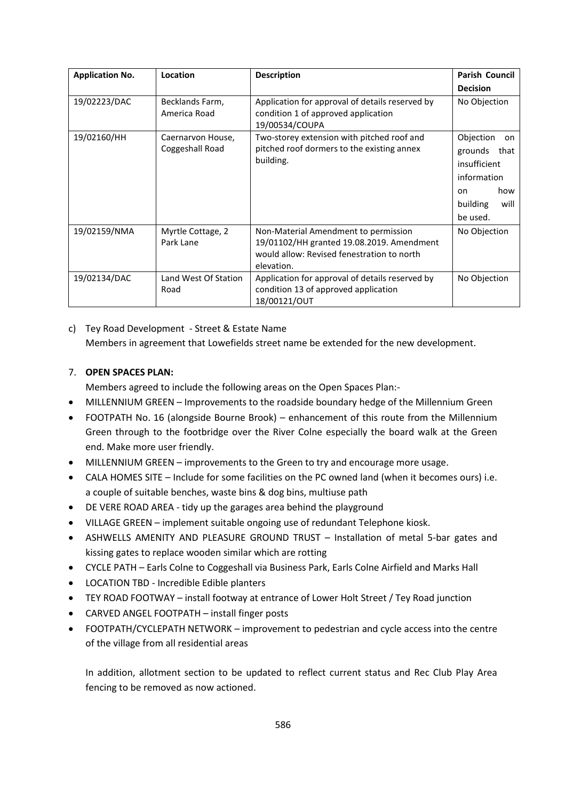| <b>Application No.</b> | Location                             | <b>Description</b>                                                                                                                            | <b>Parish Council</b>                                                                                                  |
|------------------------|--------------------------------------|-----------------------------------------------------------------------------------------------------------------------------------------------|------------------------------------------------------------------------------------------------------------------------|
|                        |                                      |                                                                                                                                               | <b>Decision</b>                                                                                                        |
| 19/02223/DAC           | Becklands Farm,<br>America Road      | Application for approval of details reserved by<br>condition 1 of approved application<br>19/00534/COUPA                                      | No Objection                                                                                                           |
| 19/02160/HH            | Caernarvon House,<br>Coggeshall Road | Two-storey extension with pitched roof and<br>pitched roof dormers to the existing annex<br>building.                                         | Objection<br>on<br>grounds that<br>insufficient<br>information<br>how<br><sub>on</sub><br>building<br>will<br>be used. |
| 19/02159/NMA           | Myrtle Cottage, 2<br>Park Lane       | Non-Material Amendment to permission<br>19/01102/HH granted 19.08.2019. Amendment<br>would allow: Revised fenestration to north<br>elevation. | No Objection                                                                                                           |
| 19/02134/DAC           | Land West Of Station<br>Road         | Application for approval of details reserved by<br>condition 13 of approved application<br>18/00121/OUT                                       | No Objection                                                                                                           |

c) Tey Road Development - Street & Estate Name Members in agreement that Lowefields street name be extended for the new development.

#### 7. **OPEN SPACES PLAN:**

Members agreed to include the following areas on the Open Spaces Plan:-

- MILLENNIUM GREEN Improvements to the roadside boundary hedge of the Millennium Green
- FOOTPATH No. 16 (alongside Bourne Brook) enhancement of this route from the Millennium Green through to the footbridge over the River Colne especially the board walk at the Green end. Make more user friendly.
- MILLENNIUM GREEN improvements to the Green to try and encourage more usage.
- CALA HOMES SITE Include for some facilities on the PC owned land (when it becomes ours) i.e. a couple of suitable benches, waste bins & dog bins, multiuse path
- DE VERE ROAD AREA tidy up the garages area behind the playground
- VILLAGE GREEN implement suitable ongoing use of redundant Telephone kiosk.
- ASHWELLS AMENITY AND PLEASURE GROUND TRUST Installation of metal 5-bar gates and kissing gates to replace wooden similar which are rotting
- CYCLE PATH Earls Colne to Coggeshall via Business Park, Earls Colne Airfield and Marks Hall
- LOCATION TBD Incredible Edible planters
- TEY ROAD FOOTWAY install footway at entrance of Lower Holt Street / Tey Road junction
- CARVED ANGEL FOOTPATH install finger posts
- FOOTPATH/CYCLEPATH NETWORK improvement to pedestrian and cycle access into the centre of the village from all residential areas

In addition, allotment section to be updated to reflect current status and Rec Club Play Area fencing to be removed as now actioned.